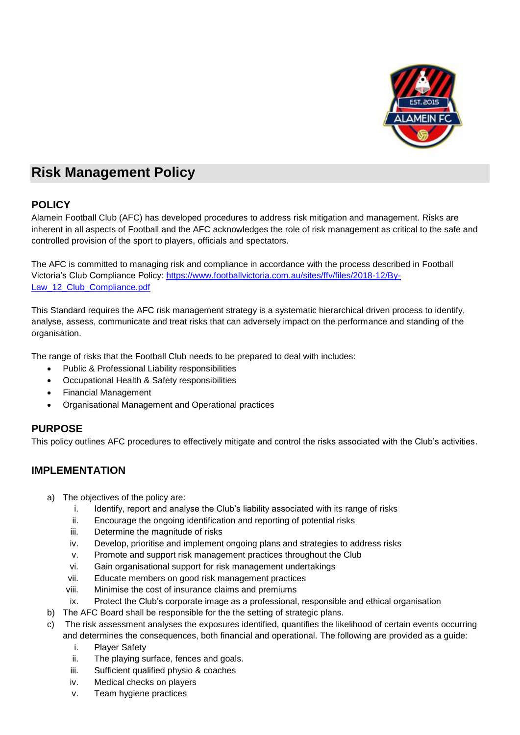

# **Risk Management Policy**

### **POLICY**

Alamein Football Club (AFC) has developed procedures to address risk mitigation and management. Risks are inherent in all aspects of Football and the AFC acknowledges the role of risk management as critical to the safe and controlled provision of the sport to players, officials and spectators.

The AFC is committed to managing risk and compliance in accordance with the process described in Football Victoria's Club Compliance Policy: [https://www.footballvictoria.com.au/sites/ffv/files/2018-12/By-](https://www.footballvictoria.com.au/sites/ffv/files/2018-12/By-Law_12_Club_Compliance.pdf)Law 12 Club Compliance.pdf

This Standard requires the AFC risk management strategy is a systematic hierarchical driven process to identify, analyse, assess, communicate and treat risks that can adversely impact on the performance and standing of the organisation.

The range of risks that the Football Club needs to be prepared to deal with includes:

- Public & Professional Liability responsibilities
- Occupational Health & Safety responsibilities
- Financial Management
- Organisational Management and Operational practices

### **PURPOSE**

This policy outlines AFC procedures to effectively mitigate and control the risks associated with the Club's activities.

## **IMPLEMENTATION**

- a) The objectives of the policy are:
	- i. Identify, report and analyse the Club's liability associated with its range of risks
	- ii. Encourage the ongoing identification and reporting of potential risks
	- iii. Determine the magnitude of risks
	- iv. Develop, prioritise and implement ongoing plans and strategies to address risks
	- v. Promote and support risk management practices throughout the Club
	- vi. Gain organisational support for risk management undertakings
	- vii. Educate members on good risk management practices
	- viii. Minimise the cost of insurance claims and premiums
	- ix. Protect the Club's corporate image as a professional, responsible and ethical organisation
- b) The AFC Board shall be responsible for the the setting of strategic plans.
- The risk assessment analyses the exposures identified, quantifies the likelihood of certain events occurring and determines the consequences, both financial and operational. The following are provided as a guide:
	- i. Player Safety
	- ii. The playing surface, fences and goals.
	- iii. Sufficient qualified physio & coaches
	- iv. Medical checks on players
	- v. Team hygiene practices